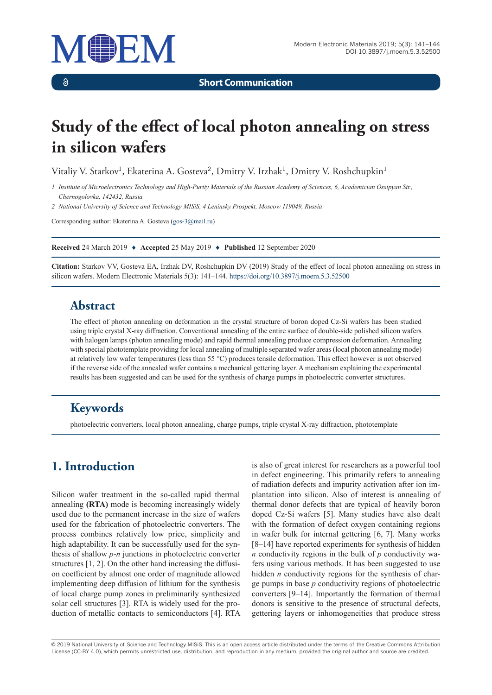

 $\delta$ 

**Short Communication**

# **Study of the effect of local photon annealing on stress in silicon wafers**

Vitaliy V. Starkov<sup>1</sup>, Ekaterina A. Gosteva<sup>2</sup>, Dmitry V. Irzhak<sup>1</sup>, Dmitry V. Roshchupkin<sup>1</sup>

*1 Institute of Microelectronics Technology and High-Purity Materials of the Russian Academy of Sciences, 6, Academician Ossipyan Str., Chernogolovka, 142432, Russia*

*2 National University of Science and Technology MISiS, 4 Leninsky Prospekt, Moscow 119049, Russia*

Corresponding author: Ekaterina A. Gosteva [\(gos-3@mail.ru](mailto:gos-3@mail.ru))

**Received** 24 March 2019 ♦ **Accepted** 25 May 2019 ♦ **Published** 12 September 2020

**Citation:** Starkov VV, Gosteva EA, Irzhak DV, Roshchupkin DV (2019) Study of the effect of local photon annealing on stress in silicon wafers. Modern Electronic Materials 5(3): 141–144. <https://doi.org/10.3897/j.moem.5.3.52500>

#### **Abstract**

The effect of photon annealing on deformation in the crystal structure of boron doped Cz-Si wafers has been studied using triple crystal X-ray diffraction. Conventional annealing of the entire surface of double-side polished silicon wafers with halogen lamps (photon annealing mode) and rapid thermal annealing produce compression deformation. Annealing with special phototemplate providing for local annealing of multiple separated wafer areas (local photon annealing mode) at relatively low wafer temperatures (less than 55 °C) produces tensile deformation. This effect however is not observed if the reverse side of the annealed wafer contains a mechanical gettering layer. A mechanism explaining the experimental results has been suggested and can be used for the synthesis of charge pumps in photoelectric converter structures.

# **Keywords**

photoelectric converters, local photon annealing, charge pumps, triple crystal X-ray diffraction, phototemplate

# **1. Introduction**

Silicon wafer treatment in the so-called rapid thermal annealing **(RTA)** mode is becoming increasingly widely used due to the permanent increase in the size of wafers used for the fabrication of photoelectric converters. The process combines relatively low price, simplicity and high adaptability. It can be successfully used for the synthesis of shallow *p*-*n* junctions in photoelectric converter structures [1, 2]. On the other hand increasing the diffusion coefficient by almost one order of magnitude allowed implementing deep diffusion of lithium for the synthesis of local charge pump zones in preliminarily synthesized solar cell structures [3]. RTA is widely used for the production of metallic contacts to semiconductors [4]. RTA is also of great interest for researchers as a powerful tool in defect engineering. This primarily refers to annealing of radiation defects and impurity activation after ion implantation into silicon. Also of interest is annealing of thermal donor defects that are typical of heavily boron doped Cz-Si wafers [5]. Many studies have also dealt with the formation of defect oxygen containing regions in wafer bulk for internal gettering [6, 7]. Many works [8–14] have reported experiments for synthesis of hidden *n* conductivity regions in the bulk of *p* conductivity wafers using various methods. It has been suggested to use hidden *n* conductivity regions for the synthesis of charge pumps in base *p* conductivity regions of photoelectric converters [9–14]. Importantly the formation of thermal donors is sensitive to the presence of structural defects, gettering layers or inhomogeneities that produce stress

© 2019 National University of Science and Technology MISiS*.* This is an open access article distributed under the terms of the Creative Commons Attribution License (CC-BY 4.0), which permits unrestricted use, distribution, and reproduction in any medium, provided the original author and source are credited.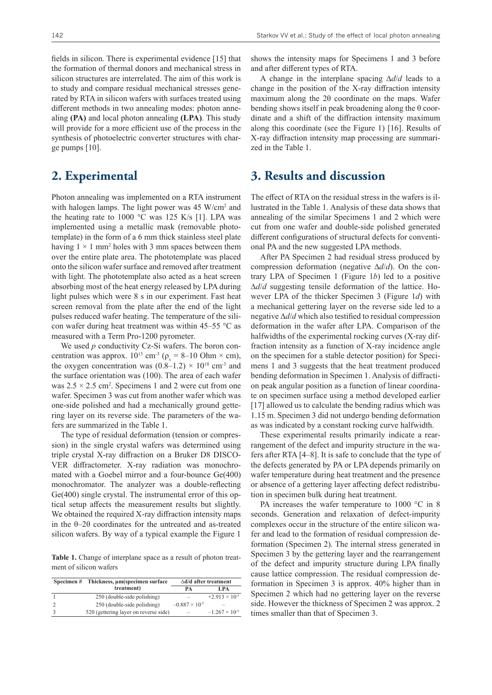fields in silicon. There is experimental evidence [15] that the formation of thermal donors and mechanical stress in silicon structures are interrelated. The aim of this work is to study and compare residual mechanical stresses generated by RTA in silicon wafers with surfaces treated using different methods in two annealing modes: photon annealing **(PA)** and local photon annealing **(LPA)**. This study will provide for a more efficient use of the process in the synthesis of photoelectric converter structures with charge pumps [10].

#### **2. Experimental**

Photon annealing was implemented on a RTA instrument with halogen lamps. The light power was 45 W/cm<sup>2</sup> and the heating rate to 1000  $\degree$ C was 125 K/s [1]. LPA was implemented using a metallic mask (removable phototemplate) in the form of a 6 mm thick stainless steel plate having  $1 \times 1$  mm<sup>2</sup> holes with 3 mm spaces between them over the entire plate area. The phototemplate was placed onto the silicon wafer surface and removed after treatment with light. The phototemplate also acted as a heat screen absorbing most of the heat energy released by LPA during light pulses which were 8 s in our experiment. Fast heat screen removal from the plate after the end of the light pulses reduced wafer heating. The temperature of the silicon wafer during heat treatment was within 45–55 °C as measured with a Term Pro-1200 pyrometer.

We used *p* conductivity Cz-Si wafers. The boron concentration was approx.  $10^{15}$  cm<sup>-3</sup> ( $\rho_v = 8{\text -}10$  Ohm  $\times$  cm), the oxygen concentration was  $(0.8-1.2) \times 10^{18}$  cm<sup>-3</sup> and the surface orientation was (100). The area of each wafer was  $2.5 \times 2.5$  cm<sup>2</sup>. Specimens 1 and 2 were cut from one wafer. Specimen 3 was cut from another wafer which was one-side polished and had a mechanically ground gettering layer on its reverse side. The parameters of the wafers are summarized in the Table 1.

The type of residual deformation (tension or compression) in the single crystal wafers was determined using triple crystal X-ray diffraction on a Bruker D8 DISCO-VER diffractometer. X-ray radiation was monochromated with a Goebel mirror and a four-bounce Ge(400) monochromator. The analyzer was a double-reflecting Ge(400) single crystal. The instrumental error of this optical setup affects the measurement results but slightly. We obtained the required X-ray diffraction intensity maps in the θ–2θ coordinates for the untreated and as-treated silicon wafers. By way of a typical example the Figure 1

**Table 1.** Change of interplane space as a result of photon treatment of silicon wafers

| Specimen# | Thickness, um(specimen surface        | $\Delta d/d$ after treatment |                         |
|-----------|---------------------------------------|------------------------------|-------------------------|
|           | treatment)                            | PА                           | LPA                     |
|           | 250 (double-side polishing)           |                              | $+2.913 \times 10^{-5}$ |
|           | 250 (double-side polishing)           | $-0.887 \times 10^{-5}$      | -                       |
|           | 520 (gettering layer on reverse side) | $\overline{\phantom{a}}$     | $-1.267 \times 10^{-5}$ |

shows the intensity maps for Specimens 1 and 3 before and after different types of RTA.

A change in the interplane spacing ∆*d*/*d* leads to a change in the position of the X-ray diffraction intensity maximum along the 2θ coordinate on the maps. Wafer bending shows itself in peak broadening along the  $\theta$  coordinate and a shift of the diffraction intensity maximum along this coordinate (see the Figure 1) [16]. Results of X-ray diffraction intensity map processing are summarized in the Table 1.

#### **3. Results and discussion**

The effect of RTA on the residual stress in the wafers is illustrated in the Table 1. Analysis of these data shows that annealing of the similar Specimens 1 and 2 which were cut from one wafer and double-side polished generated different configurations of structural defects for conventional PA and the new suggested LPA methods.

After PA Specimen 2 had residual stress produced by compression deformation (negative ∆*d*/*d*). On the contrary LPA of Specimen 1 (Figure 1*b*) led to a positive ∆*d*/*d* suggesting tensile deformation of the lattice. However LPA of the thicker Specimen 3 (Figure 1*d*) with a mechanical gettering layer on the reverse side led to a negative ∆*d*/*d* which also testified to residual compression deformation in the wafer after LPA. Comparison of the halfwidths of the experimental rocking curves (X-ray diffraction intensity as a function of X-ray incidence angle on the specimen for a stable detector position) for Specimens 1 and 3 suggests that the heat treatment produced bending deformation in Specimen 1. Analysis of diffraction peak angular position as a function of linear coordinate on specimen surface using a method developed earlier [17] allowed us to calculate the bending radius which was 1.15 m. Specimen 3 did not undergo bending deformation as was indicated by a constant rocking curve halfwidth.

These experimental results primarily indicate a rearrangement of the defect and impurity structure in the wafers after RTA [4–8]. It is safe to conclude that the type of the defects generated by PA or LPA depends primarily on wafer temperature during heat treatment and the presence or absence of a gettering layer affecting defect redistribution in specimen bulk during heat treatment.

PA increases the wafer temperature to 1000 °C in 8 seconds. Generation and relaxation of defect-impurity complexes occur in the structure of the entire silicon wafer and lead to the formation of residual compression deformation (Specimen 2). The internal stress generated in Specimen 3 by the gettering layer and the rearrangement of the defect and impurity structure during LPA finally cause lattice compression. The residual compression deformation in Specimen 3 is approx. 40% higher than in Specimen 2 which had no gettering layer on the reverse side. However the thickness of Specimen 2 was approx. 2 times smaller than that of Specimen 3.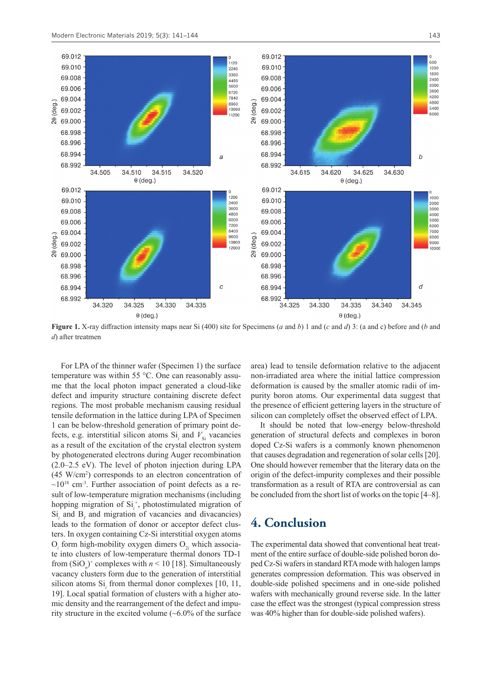



**Figure 1.** X-ray diffraction intensity maps near Si (400) site for Specimens (*a* and *b*) 1 and (*c* and *d*) 3: (a and c) before and (*b* and *d*) after treatmen

For LPA of the thinner wafer (Specimen 1) the surface temperature was within 55 °C. One can reasonably assume that the local photon impact generated a cloud-like defect and impurity structure containing discrete defect regions. The most probable mechanism causing residual tensile deformation in the lattice during LPA of Specimen 1 can be below-threshold generation of primary point defects, e.g. interstitial silicon atoms  $Si<sub>i</sub>$  and  $V<sub>Si</sub>$  vacancies as a result of the excitation of the crystal electron system by photogenerated electrons during Auger recombination (2.0–2.5 eV). The level of photon injection during LPA (45 W/cm2 ) corresponds to an electron concentration of  $\sim$ 10<sup>18</sup> cm<sup>-3</sup>. Further association of point defects as a result of low-temperature migration mechanisms (including hopping migration of  $Si^{+}_{i}$ , photostimulated migration of  $\mathrm{Si}_{i}$  and  $\mathrm{B}_{I}$  and migration of vacancies and divacancies) leads to the formation of donor or acceptor defect clusters. In oxygen containing Cz-Si interstitial oxygen atoms  $O_i$  form high-mobility oxygen dimers  $O_{2i}$  which associate into clusters of low-temperature thermal donors TD-1 from  $(SiO_n)^+$  complexes with  $n < 10$  [18]. Simultaneously vacancy clusters form due to the generation of interstitial silicon atoms Si<sub>i</sub> from thermal donor complexes [10, 11, 19]. Local spatial formation of clusters with a higher atomic density and the rearrangement of the defect and impurity structure in the excited volume (~6.0% of the surface

area) lead to tensile deformation relative to the adjacent non-irradiated area where the initial lattice compression deformation is caused by the smaller atomic radii of impurity boron atoms. Our experimental data suggest that the presence of efficient gettering layers in the structure of silicon can completely offset the observed effect of LPA.

It should be noted that low-energy below-threshold generation of structural defects and complexes in boron doped Cz-Si wafers is a commonly known phenomenon that causes degradation and regeneration of solar cells [20]. One should however remember that the literary data on the origin of the defect-impurity complexes and their possible transformation as a result of RTA are controversial as can be concluded from the short list of works on the topic [4–8].

# **4. Conclusion**

The experimental data showed that conventional heat treatment of the entire surface of double-side polished boron doped Cz-Si wafers in standard RTA mode with halogen lamps generates compression deformation. This was observed in double-side polished specimens and in one-side polished wafers with mechanically ground reverse side. In the latter case the effect was the strongest (typical compression stress was 40% higher than for double-side polished wafers).